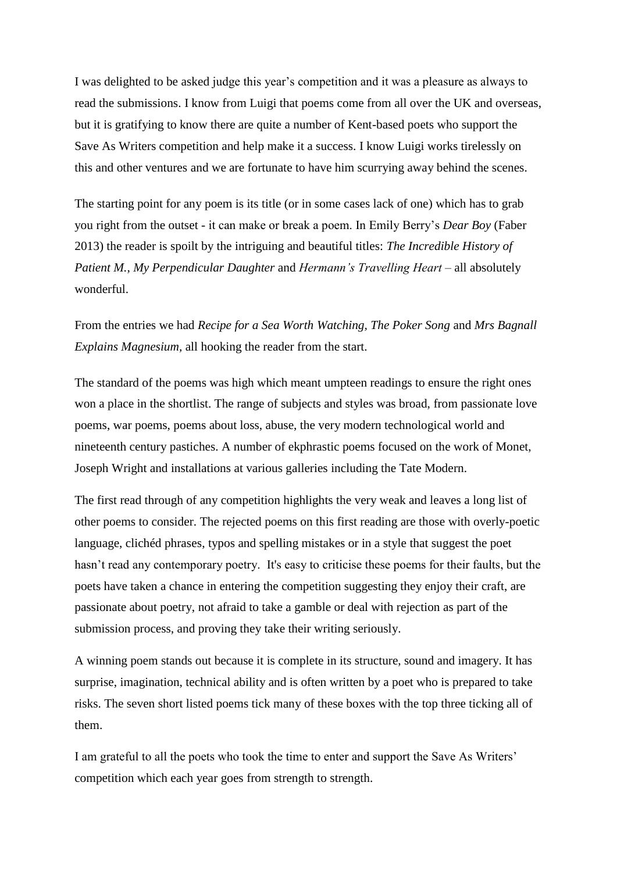I was delighted to be asked judge this year's competition and it was a pleasure as always to read the submissions. I know from Luigi that poems come from all over the UK and overseas, but it is gratifying to know there are quite a number of Kent-based poets who support the Save As Writers competition and help make it a success. I know Luigi works tirelessly on this and other ventures and we are fortunate to have him scurrying away behind the scenes.

The starting point for any poem is its title (or in some cases lack of one) which has to grab you right from the outset - it can make or break a poem. In Emily Berry's *Dear Boy* (Faber 2013) the reader is spoilt by the intriguing and beautiful titles: *The Incredible History of Patient M., My Perpendicular Daughter* and *Hermann's Travelling Heart* – all absolutely wonderful.

From the entries we had *Recipe for a Sea Worth Watching, The Poker Song* and *Mrs Bagnall Explains Magnesium,* all hooking the reader from the start.

The standard of the poems was high which meant umpteen readings to ensure the right ones won a place in the shortlist. The range of subjects and styles was broad, from passionate love poems, war poems, poems about loss, abuse, the very modern technological world and nineteenth century pastiches. A number of ekphrastic poems focused on the work of Monet, Joseph Wright and installations at various galleries including the Tate Modern.

The first read through of any competition highlights the very weak and leaves a long list of other poems to consider. The rejected poems on this first reading are those with overly-poetic language, clichéd phrases, typos and spelling mistakes or in a style that suggest the poet hasn't read any contemporary poetry. It's easy to criticise these poems for their faults, but the poets have taken a chance in entering the competition suggesting they enjoy their craft, are passionate about poetry, not afraid to take a gamble or deal with rejection as part of the submission process, and proving they take their writing seriously.

A winning poem stands out because it is complete in its structure, sound and imagery. It has surprise, imagination, technical ability and is often written by a poet who is prepared to take risks. The seven short listed poems tick many of these boxes with the top three ticking all of them.

I am grateful to all the poets who took the time to enter and support the Save As Writers' competition which each year goes from strength to strength.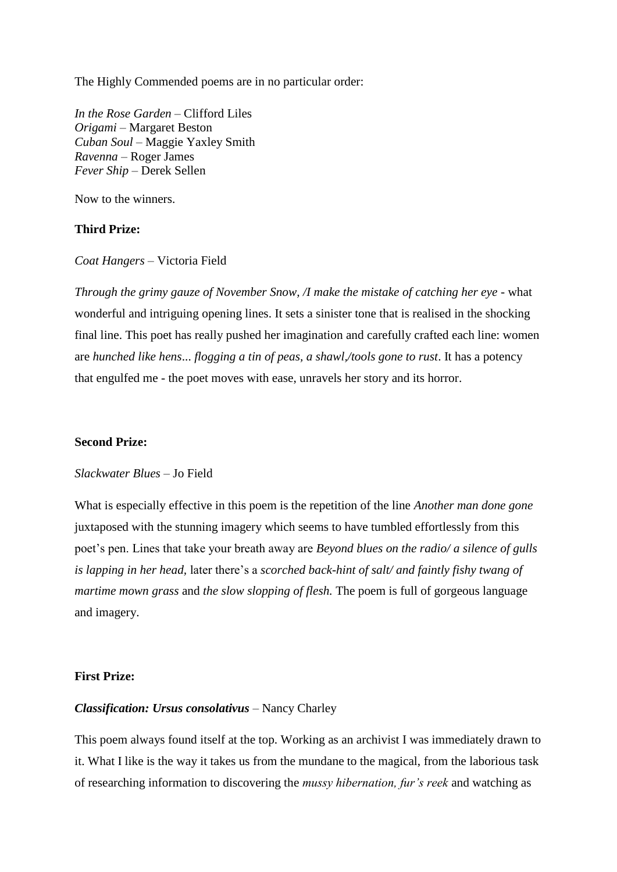The Highly Commended poems are in no particular order:

*In the Rose Garden* – Clifford Liles *Origami* – Margaret Beston *Cuban Soul* – Maggie Yaxley Smith *Ravenna –* Roger James *Fever Ship* – Derek Sellen

Now to the winners.

## **Third Prize:**

*Coat Hangers* – Victoria Field

*Through the grimy gauze of November Snow, /I make the mistake of catching her eye -* what wonderful and intriguing opening lines. It sets a sinister tone that is realised in the shocking final line. This poet has really pushed her imagination and carefully crafted each line: women are *hunched like hens*... *flogging a tin of peas, a shawl,/tools gone to rust*. It has a potency that engulfed me - the poet moves with ease, unravels her story and its horror.

### **Second Prize:**

# *Slackwater Blues* – Jo Field

What is especially effective in this poem is the repetition of the line *Another man done gone*  juxtaposed with the stunning imagery which seems to have tumbled effortlessly from this poet's pen. Lines that take your breath away are *Beyond blues on the radio/ a silence of gulls is lapping in her head,* later there's a *scorched back-hint of salt/ and faintly fishy twang of martime mown grass* and *the slow slopping of flesh.* The poem is full of gorgeous language and imagery.

## **First Prize:**

#### *Classification: Ursus consolativus* – Nancy Charley

This poem always found itself at the top. Working as an archivist I was immediately drawn to it. What I like is the way it takes us from the mundane to the magical, from the laborious task of researching information to discovering the *mussy hibernation, fur's reek* and watching as